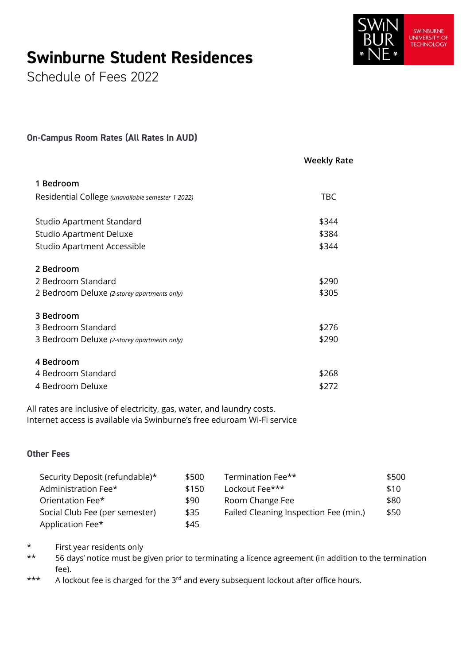# **Swinburne Student Residences**

Schedule of Fees 2022

## **On-Campus Room Rates (All Rates In AUD)**

|                                                   | <b>Weekly Rate</b> |
|---------------------------------------------------|--------------------|
| 1 Bedroom                                         |                    |
| Residential College (unavailable semester 1 2022) | <b>TBC</b>         |
| Studio Apartment Standard                         | \$344              |
| <b>Studio Apartment Deluxe</b>                    | \$384              |
| Studio Apartment Accessible                       | \$344              |
| 2 Bedroom                                         |                    |
| 2 Bedroom Standard                                | \$290              |
| 2 Bedroom Deluxe (2-storey apartments only)       | \$305              |
| 3 Bedroom                                         |                    |
| 3 Bedroom Standard                                | \$276              |
| 3 Bedroom Deluxe (2-storey apartments only)       | \$290              |
| 4 Bedroom                                         |                    |
| 4 Bedroom Standard                                | \$268              |
| 4 Bedroom Deluxe                                  | \$272              |

All rates are inclusive of electricity, gas, water, and laundry costs. Internet access is available via Swinburne's free eduroam Wi-Fi service

### **Other Fees**

| Security Deposit (refundable)* | \$500 | Termination Fee**                     | \$500 |
|--------------------------------|-------|---------------------------------------|-------|
| Administration Fee*            | \$150 | Lockout Fee***                        | \$10  |
| Orientation Fee*               | \$90  | Room Change Fee                       | \$80  |
| Social Club Fee (per semester) | \$35  | Failed Cleaning Inspection Fee (min.) | \$50  |
| Application Fee*               | \$45  |                                       |       |

\* First year residents only

\*\* 56 days' notice must be given prior to terminating a licence agreement (in addition to the termination fee).

\*\*\* A lockout fee is charged for the 3<sup>rd</sup> and every subsequent lockout after office hours.